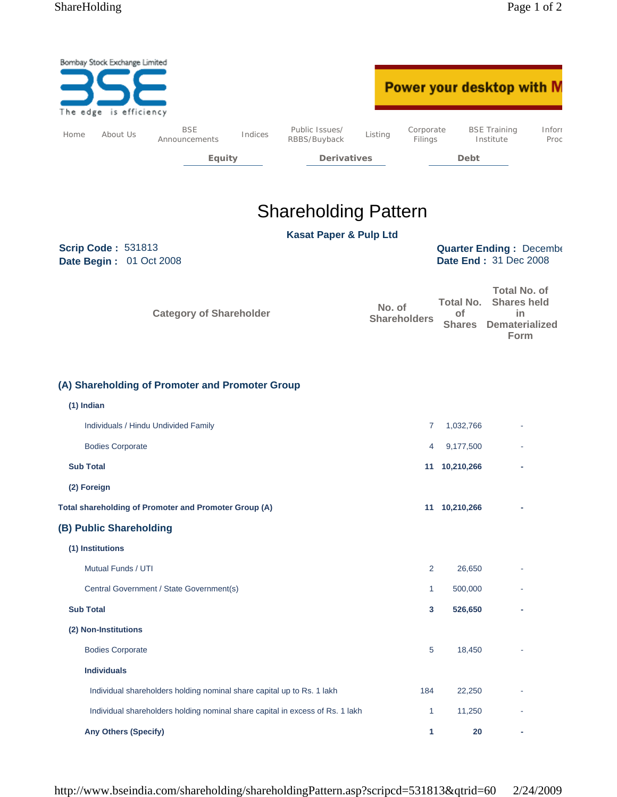|      | Bombay Stock Exchange Limited<br>The edge is efficiency |                                                                        |         |                                                                               |         |                      | Power your desktop with M                                |                                                                                  |                |
|------|---------------------------------------------------------|------------------------------------------------------------------------|---------|-------------------------------------------------------------------------------|---------|----------------------|----------------------------------------------------------|----------------------------------------------------------------------------------|----------------|
| Home | About Us                                                | <b>BSE</b><br>Announcements                                            | Indices | Public Issues/<br>RBBS/Buyback                                                | Listing | Corporate<br>Filings |                                                          | <b>BSE Training</b><br>Institute                                                 | Inforr<br>Proc |
|      |                                                         | <b>Equity</b>                                                          |         | <b>Derivatives</b>                                                            |         |                      | Debt                                                     |                                                                                  |                |
|      |                                                         |                                                                        |         |                                                                               |         |                      |                                                          |                                                                                  |                |
|      |                                                         |                                                                        |         | <b>Shareholding Pattern</b>                                                   |         |                      |                                                          |                                                                                  |                |
|      |                                                         |                                                                        |         | <b>Kasat Paper &amp; Pulp Ltd</b>                                             |         |                      |                                                          |                                                                                  |                |
|      | <b>Scrip Code: 531813</b><br>Date Begin: 01 Oct 2008    |                                                                        |         |                                                                               |         |                      | <b>Quarter Ending: December</b><br>Date End: 31 Dec 2008 |                                                                                  |                |
|      |                                                         | <b>Category of Shareholder</b>                                         |         |                                                                               | No. of  | <b>Shareholders</b>  | <b>Total No.</b><br>of<br><b>Shares</b>                  | <b>Total No. of</b><br><b>Shares held</b><br>in<br><b>Dematerialized</b><br>Form |                |
|      | (1) Indian                                              | (A) Shareholding of Promoter and Promoter Group                        |         |                                                                               |         |                      |                                                          |                                                                                  |                |
|      |                                                         | Individuals / Hindu Undivided Family                                   |         |                                                                               |         | 7                    | 1,032,766                                                |                                                                                  |                |
|      | <b>Bodies Corporate</b>                                 |                                                                        |         |                                                                               |         | 4                    | 9,177,500                                                |                                                                                  |                |
|      | <b>Sub Total</b>                                        |                                                                        |         |                                                                               |         |                      | 11 10,210,266                                            |                                                                                  |                |
|      | (2) Foreign                                             |                                                                        |         |                                                                               |         |                      |                                                          |                                                                                  |                |
|      |                                                         | Total shareholding of Promoter and Promoter Group (A)                  |         |                                                                               |         |                      | 11 10,210,266                                            | ٠                                                                                |                |
|      | (B) Public Shareholding                                 |                                                                        |         |                                                                               |         |                      |                                                          |                                                                                  |                |
|      | (1) Institutions                                        |                                                                        |         |                                                                               |         |                      |                                                          |                                                                                  |                |
|      | Mutual Funds / UTI                                      |                                                                        |         |                                                                               |         | $\overline{2}$       | 26,650                                                   |                                                                                  |                |
|      |                                                         | Central Government / State Government(s)                               |         |                                                                               |         | 1                    | 500,000                                                  |                                                                                  |                |
|      | <b>Sub Total</b>                                        |                                                                        |         |                                                                               |         | 3                    | 526,650                                                  |                                                                                  |                |
|      | (2) Non-Institutions                                    |                                                                        |         |                                                                               |         |                      |                                                          |                                                                                  |                |
|      | <b>Bodies Corporate</b>                                 |                                                                        |         |                                                                               |         | 5                    | 18,450                                                   |                                                                                  |                |
|      | <b>Individuals</b>                                      |                                                                        |         |                                                                               |         |                      |                                                          |                                                                                  |                |
|      |                                                         | Individual shareholders holding nominal share capital up to Rs. 1 lakh |         |                                                                               |         | 184                  | 22,250                                                   |                                                                                  |                |
|      |                                                         |                                                                        |         | Individual shareholders holding nominal share capital in excess of Rs. 1 lakh |         | $\mathbf{1}$         | 11,250                                                   |                                                                                  |                |
|      | <b>Any Others (Specify)</b>                             |                                                                        |         |                                                                               |         | 1                    | 20                                                       |                                                                                  |                |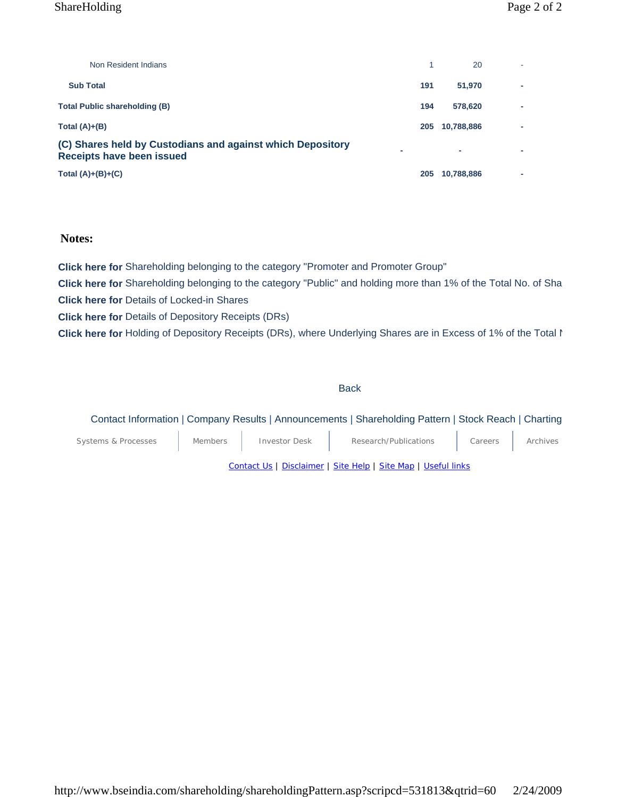## ShareHolding Page 2 of 2

| Non Resident Indians                                                                    |     | 20         |  |
|-----------------------------------------------------------------------------------------|-----|------------|--|
| <b>Sub Total</b>                                                                        | 191 | 51.970     |  |
| <b>Total Public shareholding (B)</b>                                                    | 194 | 578.620    |  |
| Total $(A)+(B)$                                                                         | 205 | 10,788,886 |  |
| (C) Shares held by Custodians and against which Depository<br>Receipts have been issued |     | ۰          |  |
| Total $(A)+(B)+(C)$                                                                     | 205 | 10,788,886 |  |

## **Notes:**

**Click here for** Shareholding belonging to the category "Promoter and Promoter Group" **Click here for** Shareholding belonging to the category "Public" and holding more than 1% of the Total No. of Sha **Click here for** Details of Locked-in Shares **Click here for** Details of Depository Receipts (DRs) **Click here for** Holding of Depository Receipts (DRs), where Underlying Shares are in Excess of 1% of the Total N

#### **Back**

## Contact Information | Company Results | Announcements | Shareholding Pattern | Stock Reach | Charting

| Systems & Processes                                           | <b>Members</b> | <b>Investor Desk</b> | Research/Publications | Careers | Archives |  |
|---------------------------------------------------------------|----------------|----------------------|-----------------------|---------|----------|--|
| Contact Us   Disclaimer   Site Help   Site Map   Useful links |                |                      |                       |         |          |  |

http://www.bseindia.com/shareholding/shareholdingPattern.asp?scripcd=531813&qtrid=60 2/24/2009